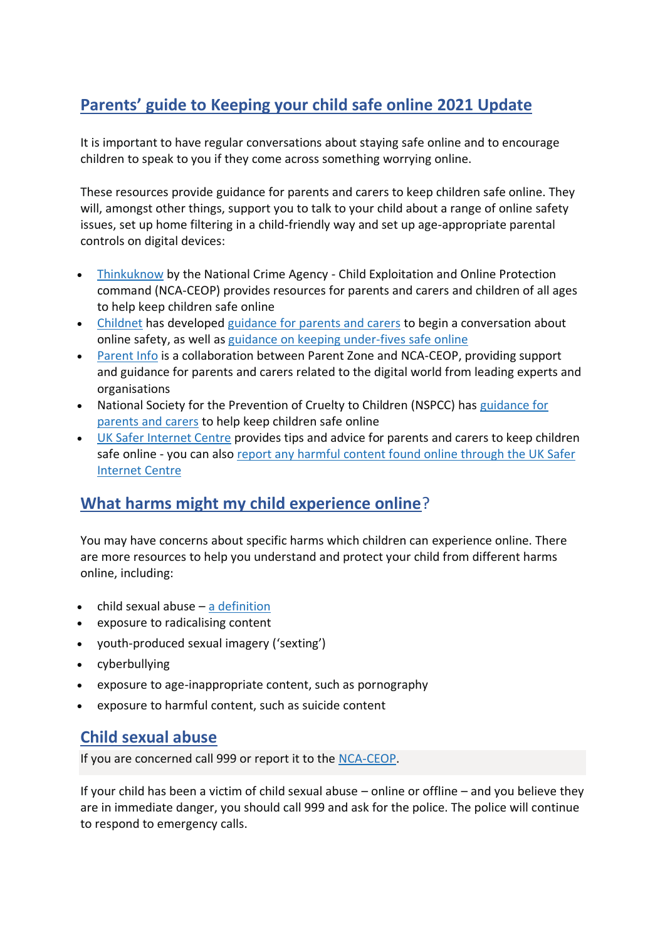# **Parents' guide to Keeping your child safe online 2021 Update**

It is important to have regular conversations about staying safe online and to encourage children to speak to you if they come across something worrying online.

These resources provide guidance for parents and carers to keep children safe online. They will, amongst other things, support you to talk to your child about a range of online safety issues, set up home filtering in a child-friendly way and set up age-appropriate parental controls on digital devices:

- [Thinkuknow](https://www.thinkuknow.co.uk/) by the National Crime Agency Child Exploitation and Online Protection command (NCA-CEOP) provides resources for parents and carers and children of all ages to help keep children safe online
- [Childnet](https://www.childnet.com/) has developed [guidance](https://www.childnet.com/parents-and-carers/have-a-conversation) for parents and carers to begin a conversation about online safety, as well as guidance on keeping [under-fives](https://www.childnet.com/parents-and-carers/hot-topics/keeping-young-children-safe-online) safe online
- [Parent](https://parentinfo.org/) Info is a collaboration between Parent Zone and NCA-CEOP, providing support and guidance for parents and carers related to the digital world from leading experts and organisations
- National Society for the Prevention of Cruelty to Children (NSPCC) has [guidance](https://www.nspcc.org.uk/keeping-children-safe/online-safety) for [parents](https://www.nspcc.org.uk/keeping-children-safe/online-safety) and carers to help keep children safe online
- UK Safer [Internet](https://www.saferinternet.org.uk/advice-centre/parents-and-carers) Centre provides tips and advice for parents and carers to keep children safe online - you can also report any harmful content found online [through](https://reportharmfulcontent.com/) the UK Safer [Internet](https://reportharmfulcontent.com/) Centre

### **What harms might my child experience online**?

You may have concerns about specific harms which children can experience online. There are more resources to help you understand and protect your child from different harms online, including:

- child sexual abuse  $-$  a [definition](https://assets.publishing.service.gov.uk/government/uploads/system/uploads/attachment_data/file/779401/Working_Together_to_Safeguard-Children.pdf#page=103)
- exposure to radicalising content
- youth-produced sexual imagery ('sexting')
- cyberbullying
- exposure to age-inappropriate content, such as pornography
- exposure to harmful content, such as suicide content

### **Child sexual abuse**

If you are concerned call 999 or report it to the [NCA-CEOP.](https://www.ceop.police.uk/ceop-reporting/)

If your child has been a victim of child sexual abuse – online or offline – and you believe they are in immediate danger, you should call 999 and ask for the police. The police will continue to respond to emergency calls.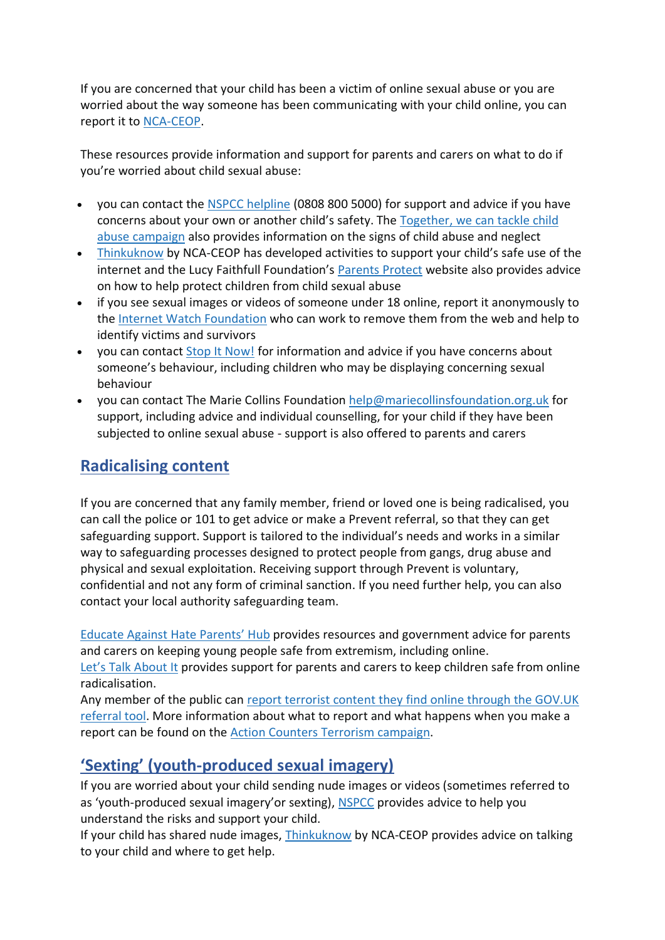If you are concerned that your child has been a victim of online sexual abuse or you are worried about the way someone has been communicating with your child online, you can report it to [NCA-CEOP.](https://www.ceop.police.uk/ceop-reporting/)

These resources provide information and support for parents and carers on what to do if you're worried about child sexual abuse:

- you can contact the NSPCC [helpline](https://www.nspcc.org.uk/keeping-children-safe/our-services/nspcc-helpline/) (0808 800 5000) for support and advice if you have concerns about your own or another child's safety. The [Together,](https://tacklechildabuse.campaign.gov.uk/) we can tackle child abuse [campaign](https://tacklechildabuse.campaign.gov.uk/) also provides information on the signs of child abuse and neglect
- [Thinkuknow](https://www.thinkuknow.co.uk/parents/Support-tools/home-activity-worksheets/) by NCA-CEOP has developed activities to support your child's safe use of the internet and the Lucy Faithfull Foundation's [Parents](https://www.parentsprotect.co.uk/) Protect website also provides advice on how to help protect children from child sexual abuse
- if you see sexual images or videos of someone under 18 online, report it anonymously to the Internet Watch [Foundation](https://report.iwf.org.uk/en) who can work to remove them from the web and help to identify victims and survivors
- you can contact Stop It [Now!](https://www.stopitnow.org.uk/) for information and advice if you have concerns about someone's behaviour, including children who may be displaying concerning sexual behaviour
- you can contact The Marie Collins Foundation [help@mariecollinsfoundation.org.uk](mailto:help@mariecollinsfoundation.org.uk) for support, including advice and individual counselling, for your child if they have been subjected to online sexual abuse - support is also offered to parents and carers

### **Radicalising content**

If you are concerned that any family member, friend or loved one is being radicalised, you can call the police or 101 to get advice or make a Prevent referral, so that they can get safeguarding support. Support is tailored to the individual's needs and works in a similar way to safeguarding processes designed to protect people from gangs, drug abuse and physical and sexual exploitation. Receiving support through Prevent is voluntary, confidential and not any form of criminal sanction. If you need further help, you can also contact your local authority safeguarding team.

Educate Against Hate [Parents'](https://educateagainsthate.com/parents/) Hub provides resources and government advice for parents and carers on keeping young people safe from extremism, including online.

Let's Talk [About](https://www.ltai.info/staying-safe-online/) It provides support for parents and carers to keep children safe from online radicalisation.

Any member of the public can report [terrorist](https://www.gov.uk/report-terrorism) content they find online through the GOV.UK [referral](https://www.gov.uk/report-terrorism) tool. More information about what to report and what happens when you make a report can be found on the Action Counters Terrorism [campaign.](https://act.campaign.gov.uk/)

# **'Sexting' (youth-produced sexual imagery)**

If you are worried about your child sending nude images or videos (sometimes referred to as 'youth-produced sexual imagery'or sexting), [NSPCC](https://www.nspcc.org.uk/keeping-children-safe/online-safety/sexting-sending-nudes/) provides advice to help you understand the risks and support your child.

If your child has shared nude images, [Thinkuknow](https://www.thinkuknow.co.uk/) by NCA-CEOP provides advice on talking to your child and where to get help.